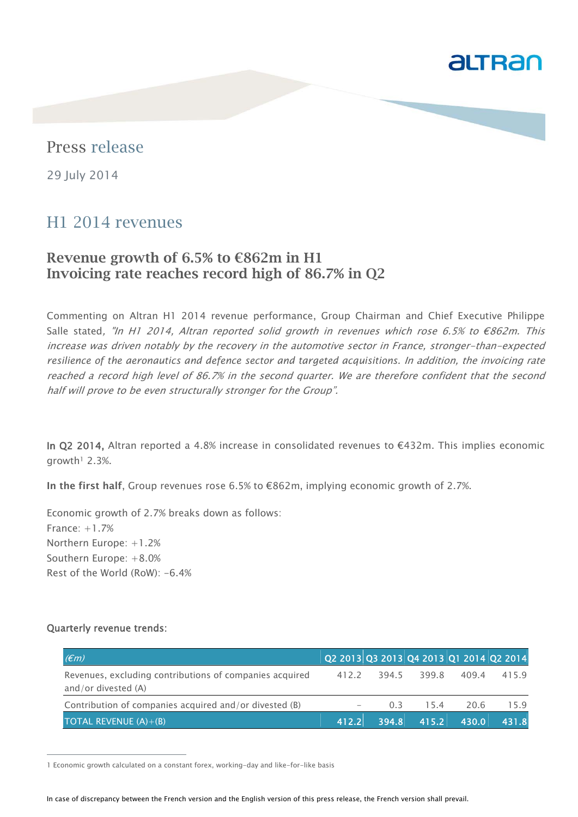

# Press release

29 July 2014

## H1 2014 revenues

## Revenue growth of 6.5% to  $\epsilon$ 862m in H1 Invoicing rate reaches record high of 86.7% in Q2

Commenting on Altran H1 2014 revenue performance, Group Chairman and Chief Executive Philippe Salle stated, "In H1 2014, Altran reported solid growth in revenues which rose 6.5% to  $\epsilon$ 862m. This increase was driven notably by the recovery in the automotive sector in France, stronger-than-expected *resilience of the aeronautics and defence sector and targeted acquisitions.* In addition, the invoicing rate reached a record high level of 86.7% in the second quarter. We are therefore confident that the second half will prove to be even structurally stronger for the Group".

In Q2 2014, Altran reported a 4.8% increase in consolidated revenues to €432m. This implies economic growth<sup> $1$ </sup> 2.3%.

In the first half, Group revenues rose  $6.5\%$  to  $€862m$ , implying economic growth of 2.7%.

Economic growth of 2.7% breaks down as follows: France: +1.7% Northern Europe: +1.2% Southern Europe: +8.0% Rest of the World (RoW): -6.4%

#### Quarterly revenue trends:

j

| $ \epsilon(m) $                                                                  | $ $ Q2 2013 Q3 2013 Q4 2013 Q1 2014 Q2 2014 |       |             |       |       |
|----------------------------------------------------------------------------------|---------------------------------------------|-------|-------------|-------|-------|
| Revenues, excluding contributions of companies acquired<br>and/or divested $(A)$ | 412.2                                       |       | 394.5 399.8 | 409.4 | 415.9 |
| Contribution of companies acquired and/or divested (B)                           | -                                           | 0 3   | 15.4        | 20.6  | 159   |
| <b>TOTAL REVENUE (A)+(B)</b>                                                     | 412.2                                       | 394.8 | $-415.2$    | 430.0 | 431.8 |

1 Economic growth calculated on a constant forex, working-day and like-for-like basis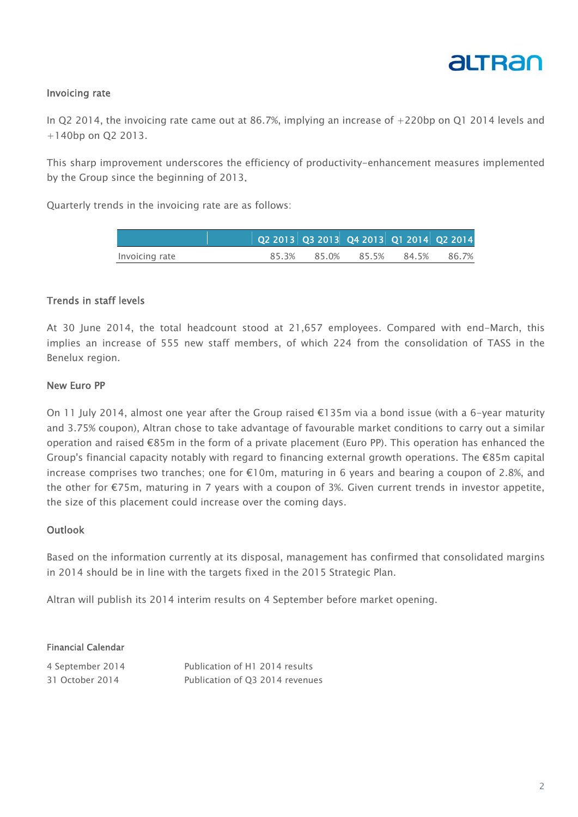

## Invoicing rate

In Q2 2014, the invoicing rate came out at 86.7%, implying an increase of +220bp on Q1 2014 levels and +140bp on Q2 2013.

This sharp improvement underscores the efficiency of productivity-enhancement measures implemented by the Group since the beginning of 2013.

Quarterly trends in the invoicing rate are as follows:

|                |       |       | Q2 2013  Q3 2013  Q4 2013  Q1 2014  Q2 2014 |       |       |
|----------------|-------|-------|---------------------------------------------|-------|-------|
| Invoicing rate | 85.3% | 85.0% | 85.5%                                       | 84.5% | 86.7% |

### Trends in staff levels

At 30 June 2014, the total headcount stood at 21,657 employees. Compared with end-March, this implies an increase of 555 new staff members, of which 224 from the consolidation of TASS in the Benelux region.

#### New Euro PP

On 11 July 2014, almost one year after the Group raised €135m via a bond issue (with a 6-year maturity and 3.75% coupon), Altran chose to take advantage of favourable market conditions to carry out a similar operation and raised €85m in the form of a private placement (Euro PP). This operation has enhanced the Group's financial capacity notably with regard to financing external growth operations. The €85m capital increase comprises two tranches; one for €10m, maturing in 6 years and bearing a coupon of 2.8%, and the other for €75m, maturing in 7 years with a coupon of 3%. Given current trends in investor appetite, the size of this placement could increase over the coming days.

#### Outlook

Based on the information currently at its disposal, management has confirmed that consolidated margins in 2014 should be in line with the targets fixed in the 2015 Strategic Plan.

Altran will publish its 2014 interim results on 4 September before market opening.

#### Financial Calendar

| 4 September 2014 | Publication of H1 2014 results  |
|------------------|---------------------------------|
| 31 October 2014  | Publication of Q3 2014 revenues |